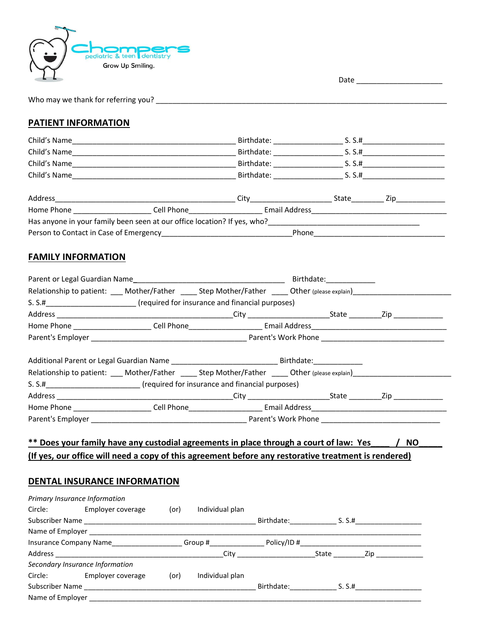

Date \_\_\_\_\_\_\_\_\_\_\_\_\_\_\_\_\_\_\_\_\_

| Who may we thank for referring you? |  |
|-------------------------------------|--|
|                                     |  |

## **PATIENT INFORMATION**

| Child's Name | Birthdate: | S. S.H       |
|--------------|------------|--------------|
| Child's Name | Birthdate: | S. S.H       |
| Child's Name | Birthdate: | S. S.H       |
| Child's Name | Birthdate: | S. S.H       |
|              |            |              |
| Address      | City       | State<br>Zip |

| Home Phone                                                               | Cell Phone | Email Address |  |  |
|--------------------------------------------------------------------------|------------|---------------|--|--|
| Has anyone in your family been seen at our office location? If yes, who? |            |               |  |  |
| Person to Contact in Case of Emergency                                   |            | Phone         |  |  |

## **FAMILY INFORMATION**

|  | Birthdate: 1990<br>Relationship to patient: ____ Mother/Father _____ Step Mother/Father _____ Other (please explain)_____________<br>Parent's Employer example and the contract of the contract of the Parent's Work Phone and the contract of the contract of the contract of the contract of the contract of the contract of the contract of the contract of the<br>Relationship to patient: ____ Mother/Father _____ Step Mother/Father _____ Other (please explain)____________ |
|--|-------------------------------------------------------------------------------------------------------------------------------------------------------------------------------------------------------------------------------------------------------------------------------------------------------------------------------------------------------------------------------------------------------------------------------------------------------------------------------------|

# **\*\* Does your family have any custodial agreements in place through a court of law: Yes\_\_\_\_ / NO\_\_\_\_\_ (If yes, our office will need a copy of this agreement before any restorative treatment is rendered)**

## **DENTAL INSURANCE INFORMATION**

| Primary Insurance Information               |      |                 |            |        |     |
|---------------------------------------------|------|-----------------|------------|--------|-----|
| Employer coverage<br>Circle:                | (or) | Individual plan |            |        |     |
| Subscriber Name ___________________________ |      |                 | Birthdate: | S. S.H |     |
| Name of Employer                            |      |                 |            |        |     |
| Insurance Company Name                      |      | Group #         | Policy/ID# |        |     |
|                                             |      | City            |            | State  | Zip |
| Secondary Insurance Information             |      |                 |            |        |     |
| Employer coverage<br>Circle:                | (or) | Individual plan |            |        |     |
| Subscriber Name                             |      |                 | Birthdate: | S. S.# |     |
| Name of Employer                            |      |                 |            |        |     |